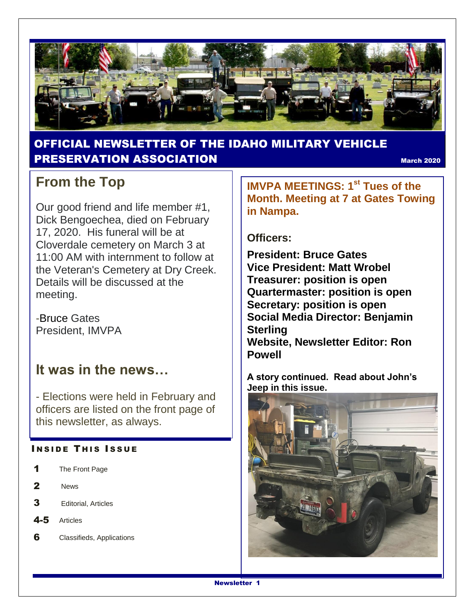

### OFFICIAL NEWSLETTER OF THE IDAHO MILITARY VEHICLE **PRESERVATION ASSOCIATION** MARKING CONTROL MARKING MARKING 2020

## **From the Top**

Our good friend and life member #1, Dick Bengoechea, died on February 17, 2020. His funeral will be at Cloverdale cemetery on March 3 at 11:00 AM with internment to follow at the Veteran's Cemetery at Dry Creek. Details will be discussed at the meeting.

-Bruce Gates President, IMVPA

## **It was in the news…**

- Elections were held in February and officers are listed on the front page of this newsletter, as always.

#### **INSIDE THIS ISSUE**

- 1 The Front Page
- 2 News
- 3 Editorial, Articles
- 4-5 Articles
- 6 Classifieds, Applications

**IMVPA MEETINGS: 1st Tues of the Month. Meeting at 7 at Gates Towing in Nampa.**

#### **Officers:**

**President: Bruce Gates Vice President: Matt Wrobel Treasurer: position is open Quartermaster: position is open Secretary: position is open Social Media Director: Benjamin Sterling Website, Newsletter Editor: Ron Powell**

**A story continued. Read about John's Jeep in this issue.**

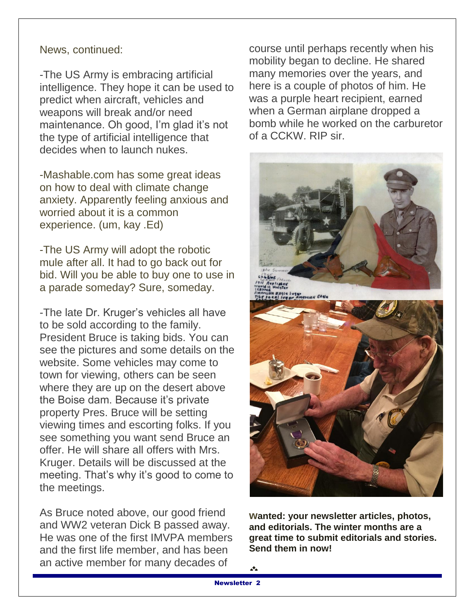#### News, continued:

-The US Army is embracing artificial intelligence. They hope it can be used to predict when aircraft, vehicles and weapons will break and/or need maintenance. Oh good, I'm glad it's not the type of artificial intelligence that decides when to launch nukes.

-Mashable.com has some great ideas on how to deal with climate change anxiety. Apparently feeling anxious and worried about it is a common experience. (um, kay .Ed)

-The US Army will adopt the robotic mule after all. It had to go back out for bid. Will you be able to buy one to use in a parade someday? Sure, someday.

-The late Dr. Kruger's vehicles all have to be sold according to the family. President Bruce is taking bids. You can see the pictures and some details on the website. Some vehicles may come to town for viewing, others can be seen where they are up on the desert above the Boise dam. Because it's private property Pres. Bruce will be setting viewing times and escorting folks. If you see something you want send Bruce an offer. He will share all offers with Mrs. Kruger. Details will be discussed at the meeting. That's why it's good to come to the meetings.

As Bruce noted above, our good friend and WW2 veteran Dick B passed away. He was one of the first IMVPA members and the first life member, and has been an active member for many decades of

course until perhaps recently when his mobility began to decline. He shared many memories over the years, and here is a couple of photos of him. He was a purple heart recipient, earned when a German airplane dropped a bomb while he worked on the carburetor of a CCKW. RIP sir.



**wanted: your newsletter articles, photos, and editorials. The winter months are a great time to submit editorials and stories. Send them in now!**

 $\frac{A}{A}$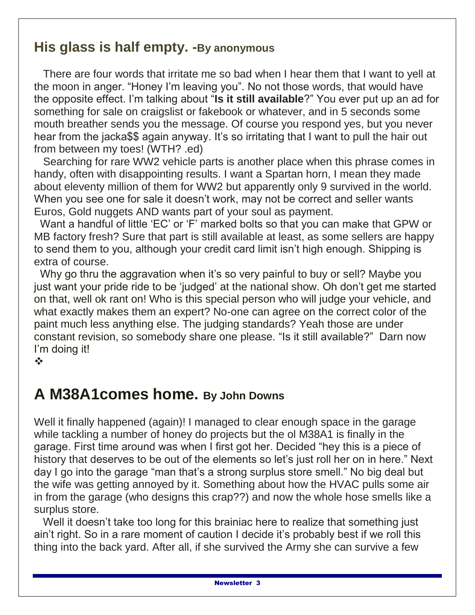## **His glass is half empty. -By anonymous**

 There are four words that irritate me so bad when I hear them that I want to yell at the moon in anger. "Honey I'm leaving you". No not those words, that would have the opposite effect. I'm talking about "**Is it still available**?" You ever put up an ad for something for sale on craigslist or fakebook or whatever, and in 5 seconds some mouth breather sends you the message. Of course you respond yes, but you never hear from the jacka\$\$ again anyway. It's so irritating that I want to pull the hair out from between my toes! (WTH? .ed)

 Searching for rare WW2 vehicle parts is another place when this phrase comes in handy, often with disappointing results. I want a Spartan horn, I mean they made about eleventy million of them for WW2 but apparently only 9 survived in the world. When you see one for sale it doesn't work, may not be correct and seller wants Euros, Gold nuggets AND wants part of your soul as payment.

 Want a handful of little 'EC' or 'F' marked bolts so that you can make that GPW or MB factory fresh? Sure that part is still available at least, as some sellers are happy to send them to you, although your credit card limit isn't high enough. Shipping is extra of course.

 Why go thru the aggravation when it's so very painful to buy or sell? Maybe you just want your pride ride to be 'judged' at the national show. Oh don't get me started on that, well ok rant on! Who is this special person who will judge your vehicle, and what exactly makes them an expert? No-one can agree on the correct color of the paint much less anything else. The judging standards? Yeah those are under constant revision, so somebody share one please. "Is it still available?" Darn now I'm doing it!

❖

# **A M38A1comes home. By John Downs**

Well it finally happened (again)! I managed to clear enough space in the garage while tackling a number of honey do projects but the ol M38A1 is finally in the garage. First time around was when I first got her. Decided "hey this is a piece of history that deserves to be out of the elements so let's just roll her on in here." Next day I go into the garage "man that's a strong surplus store smell." No big deal but the wife was getting annoyed by it. Something about how the HVAC pulls some air in from the garage (who designs this crap??) and now the whole hose smells like a surplus store.

 Well it doesn't take too long for this brainiac here to realize that something just ain't right. So in a rare moment of caution I decide it's probably best if we roll this thing into the back yard. After all, if she survived the Army she can survive a few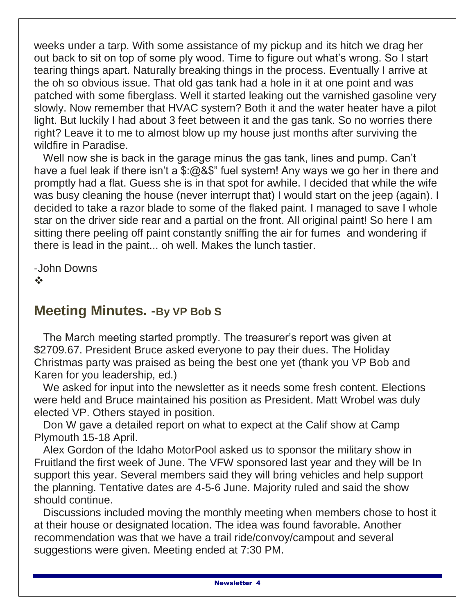weeks under a tarp. With some assistance of my pickup and its hitch we drag her out back to sit on top of some ply wood. Time to figure out what's wrong. So I start tearing things apart. Naturally breaking things in the process. Eventually I arrive at the oh so obvious issue. That old gas tank had a hole in it at one point and was patched with some fiberglass. Well it started leaking out the varnished gasoline very slowly. Now remember that HVAC system? Both it and the water heater have a pilot light. But luckily I had about 3 feet between it and the gas tank. So no worries there right? Leave it to me to almost blow up my house just months after surviving the wildfire in Paradise.

 Well now she is back in the garage minus the gas tank, lines and pump. Can't have a fuel leak if there isn't a \$:@&\$" fuel system! Any ways we go her in there and promptly had a flat. Guess she is in that spot for awhile. I decided that while the wife was busy cleaning the house (never interrupt that) I would start on the jeep (again). I decided to take a razor blade to some of the flaked paint. I managed to save I whole star on the driver side rear and a partial on the front. All original paint! So here I am sitting there peeling off paint constantly sniffing the air for fumes and wondering if there is lead in the paint... oh well. Makes the lunch tastier.

-John Downs  $\frac{1}{2}$ 

### **Meeting Minutes. -By VP Bob S**

 The March meeting started promptly. The treasurer's report was given at \$2709.67. President Bruce asked everyone to pay their dues. The Holiday Christmas party was praised as being the best one yet (thank you VP Bob and Karen for you leadership, ed.)

 We asked for input into the newsletter as it needs some fresh content. Elections were held and Bruce maintained his position as President. Matt Wrobel was duly elected VP. Others stayed in position.

 Don W gave a detailed report on what to expect at the Calif show at Camp Plymouth 15-18 April.

 Alex Gordon of the Idaho MotorPool asked us to sponsor the military show in Fruitland the first week of June. The VFW sponsored last year and they will be In support this year. Several members said they will bring vehicles and help support the planning. Tentative dates are 4-5-6 June. Majority ruled and said the show should continue.

 Discussions included moving the monthly meeting when members chose to host it at their house or designated location. The idea was found favorable. Another recommendation was that we have a trail ride/convoy/campout and several suggestions were given. Meeting ended at 7:30 PM.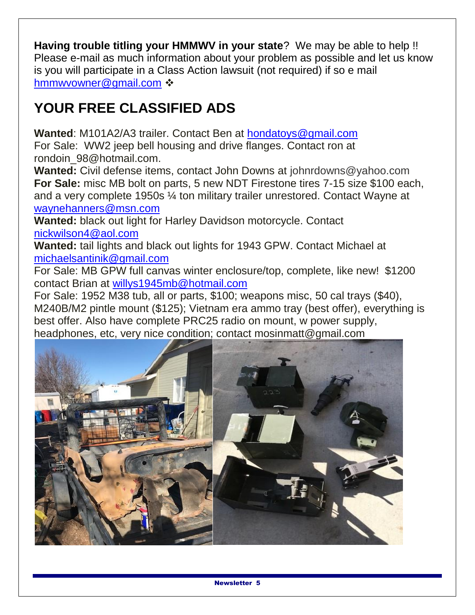**Having trouble titling your HMMWV in your state**? We may be able to help !! Please e-mail as much information about your problem as possible and let us know is you will participate in a Class Action lawsuit (not required) if so e mail [hmmwvowner@gmail.com](mailto:hmmwvowner@gmail.com)  $\cdot$ 

# **YOUR FREE CLASSIFIED ADS**

**Wanted**: M101A2/A3 trailer. Contact Ben at [hondatoys@gmail.com](mailto:hondatoys@gmail.com) For Sale: WW2 jeep bell housing and drive flanges. Contact ron at rondoin\_98@hotmail.com.

**Wanted:** Civil defense items, contact John Downs at johnrdowns@yahoo.com **For Sale:** misc MB bolt on parts, 5 new NDT Firestone tires 7-15 size \$100 each, and a very complete 1950s ¼ ton military trailer unrestored. Contact Wayne at [waynehanners@msn.com](mailto:waynehanners@msn.com)

**Wanted:** black out light for Harley Davidson motorcycle. Contact [nickwilson4@aol.com](mailto:nickwilson4@aol.com)

**Wanted:** tail lights and black out lights for 1943 GPW. Contact Michael at [michaelsantinik@gmail.com](mailto:michaelsantinik@gmail.com)

For Sale: MB GPW full canvas winter enclosure/top, complete, like new! \$1200 contact Brian at [willys1945mb@hotmail.com](mailto:willys1945mb@hotmail.com)

For Sale: 1952 M38 tub, all or parts, \$100; weapons misc, 50 cal trays (\$40), M240B/M2 pintle mount (\$125); Vietnam era ammo tray (best offer), everything is best offer. Also have complete PRC25 radio on mount, w power supply, headphones, etc, very nice condition; contact mosinmatt@gmail.com